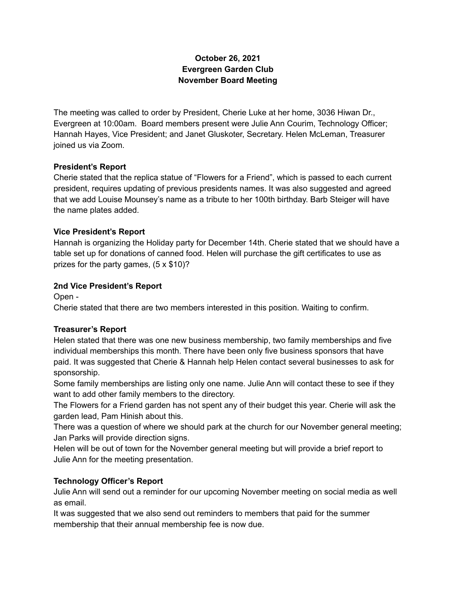# **October 26, 2021 Evergreen Garden Club November Board Meeting**

The meeting was called to order by President, Cherie Luke at her home, 3036 Hiwan Dr., Evergreen at 10:00am. Board members present were Julie Ann Courim, Technology Officer; Hannah Hayes, Vice President; and Janet Gluskoter, Secretary. Helen McLeman, Treasurer joined us via Zoom.

### **President's Report**

Cherie stated that the replica statue of "Flowers for a Friend", which is passed to each current president, requires updating of previous presidents names. It was also suggested and agreed that we add Louise Mounsey's name as a tribute to her 100th birthday. Barb Steiger will have the name plates added.

### **Vice President's Report**

Hannah is organizing the Holiday party for December 14th. Cherie stated that we should have a table set up for donations of canned food. Helen will purchase the gift certificates to use as prizes for the party games, (5 x \$10)?

### **2nd Vice President's Report**

Open -

Cherie stated that there are two members interested in this position. Waiting to confirm.

#### **Treasurer's Report**

Helen stated that there was one new business membership, two family memberships and five individual memberships this month. There have been only five business sponsors that have paid. It was suggested that Cherie & Hannah help Helen contact several businesses to ask for sponsorship.

Some family memberships are listing only one name. Julie Ann will contact these to see if they want to add other family members to the directory.

The Flowers for a Friend garden has not spent any of their budget this year. Cherie will ask the garden lead, Pam Hinish about this.

There was a question of where we should park at the church for our November general meeting; Jan Parks will provide direction signs.

Helen will be out of town for the November general meeting but will provide a brief report to Julie Ann for the meeting presentation.

# **Technology Officer's Report**

Julie Ann will send out a reminder for our upcoming November meeting on social media as well as email.

It was suggested that we also send out reminders to members that paid for the summer membership that their annual membership fee is now due.